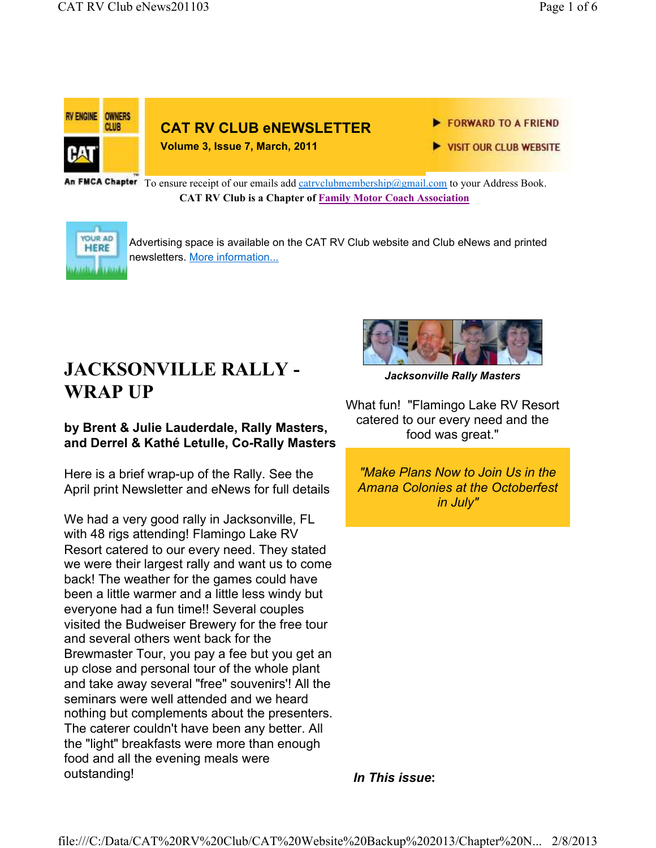

An FMCA Chapter To ensure receipt of our emails add catrvclubmembership@gmail.com to your Address Book. **CAT RV Club is a Chapter of Family Motor Coach Association** 



Advertising space is available on the CAT RV Club website and Club eNews and printed newsletters. More information...

# **JACKSONVILLE RALLY - WRAP UP**

## **by Brent & Julie Lauderdale, Rally Masters, and Derrel & Kathé Letulle, Co-Rally Masters**

Here is a brief wrap-up of the Rally. See the April print Newsletter and eNews for full details

We had a very good rally in Jacksonville, FL with 48 rigs attending! Flamingo Lake RV Resort catered to our every need. They stated we were their largest rally and want us to come back! The weather for the games could have been a little warmer and a little less windy but everyone had a fun time!! Several couples visited the Budweiser Brewery for the free tour and several others went back for the Brewmaster Tour, you pay a fee but you get an up close and personal tour of the whole plant and take away several "free" souvenirs'! All the seminars were well attended and we heard nothing but complements about the presenters. The caterer couldn't have been any better. All the "light" breakfasts were more than enough food and all the evening meals were outstanding!



*Jacksonville Rally Masters*

What fun! "Flamingo Lake RV Resort catered to our every need and the food was great."

*"Make Plans Now to Join Us in the Amana Colonies at the Octoberfest in July"* 

*In This issue***:**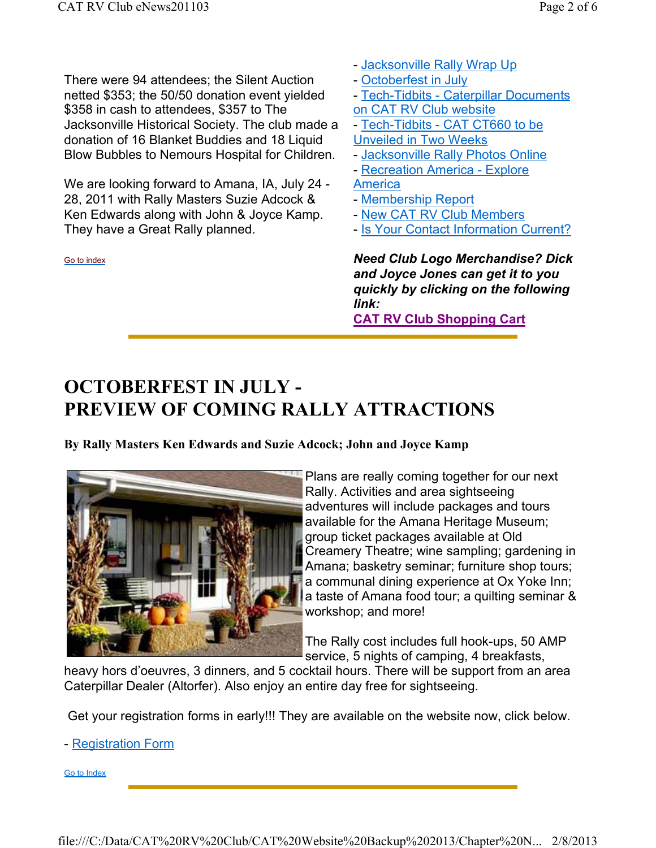There were 94 attendees; the Silent Auction netted \$353; the 50/50 donation event yielded \$358 in cash to attendees, \$357 to The Jacksonville Historical Society. The club made a donation of 16 Blanket Buddies and 18 Liquid Blow Bubbles to Nemours Hospital for Children.

We are looking forward to Amana, IA, July 24 - 28, 2011 with Rally Masters Suzie Adcock & Ken Edwards along with John & Joyce Kamp. They have a Great Rally planned.

Go to index

- Jacksonville Rally Wrap Up
- Octoberfest in July
- Tech-Tidbits Caterpillar Documents on CAT RV Club website
- Tech-Tidbits CAT CT660 to be
- Unveiled in Two Weeks
- Jacksonville Rally Photos Online
- Recreation America Explore
- **America**
- Membership Report
- New CAT RV Club Members
- Is Your Contact Information Current?

*Need Club Logo Merchandise? Dick and Joyce Jones can get it to you quickly by clicking on the following link:* 

**CAT RV Club Shopping Cart**

# **OCTOBERFEST IN JULY - PREVIEW OF COMING RALLY ATTRACTIONS**

**By Rally Masters Ken Edwards and Suzie Adcock; John and Joyce Kamp**



Plans are really coming together for our next Rally. Activities and area sightseeing adventures will include packages and tours available for the Amana Heritage Museum; group ticket packages available at Old Creamery Theatre; wine sampling; gardening in Amana; basketry seminar; furniture shop tours; a communal dining experience at Ox Yoke Inn; a taste of Amana food tour; a quilting seminar & workshop; and more!

The Rally cost includes full hook-ups, 50 AMP service, 5 nights of camping, 4 breakfasts,

heavy hors d'oeuvres, 3 dinners, and 5 cocktail hours. There will be support from an area Caterpillar Dealer (Altorfer). Also enjoy an entire day free for sightseeing.

Get your registration forms in early!!! They are available on the website now, click below.

- Registration Form

Go to Index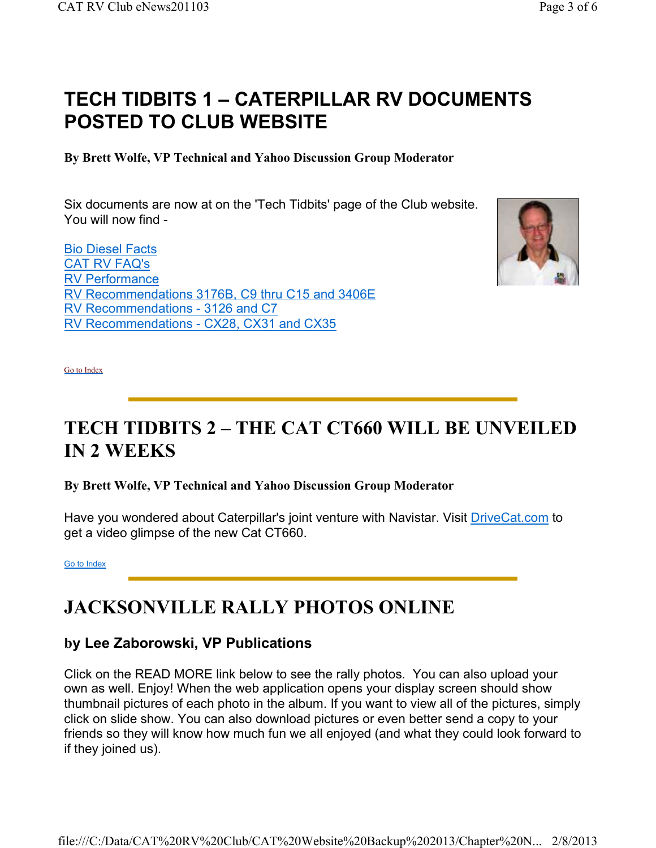# **TECH TIDBITS 1 – CATERPILLAR RV DOCUMENTS POSTED TO CLUB WEBSITE**

**By Brett Wolfe, VP Technical and Yahoo Discussion Group Moderator**

Six documents are now at on the 'Tech Tidbits' page of the Club website. You will now find -

Bio Diesel Facts CAT RV FAQ's RV Performance RV Recommendations 3176B, C9 thru C15 and 3406E RV Recommendations - 3126 and C7 RV Recommendations - CX28, CX31 and CX35



Go to Index

# **TECH TIDBITS 2 – THE CAT CT660 WILL BE UNVEILED IN 2 WEEKS**

**By Brett Wolfe, VP Technical and Yahoo Discussion Group Moderator**

Have you wondered about Caterpillar's joint venture with Navistar. Visit DriveCat.com to get a video glimpse of the new Cat CT660.

Go to Index

# **JACKSONVILLE RALLY PHOTOS ONLINE**

## **by Lee Zaborowski, VP Publications**

Click on the READ MORE link below to see the rally photos. You can also upload your own as well. Enjoy! When the web application opens your display screen should show thumbnail pictures of each photo in the album. If you want to view all of the pictures, simply click on slide show. You can also download pictures or even better send a copy to your friends so they will know how much fun we all enjoyed (and what they could look forward to if they joined us).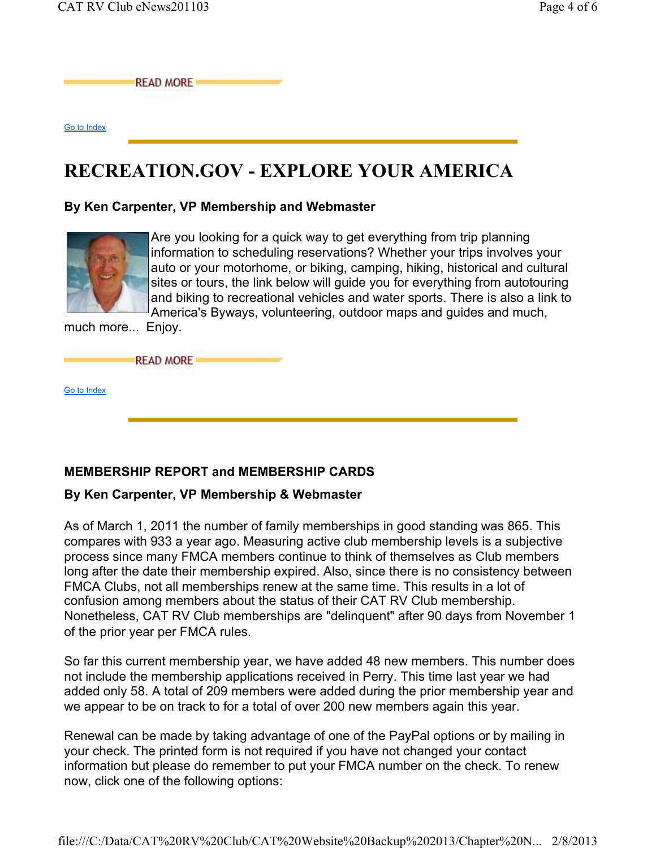**READ MORE** 

Go to Index

## **RECREATION.GOV - EXPLORE YOUR AMERICA**

#### **By Ken Carpenter, VP Membership and Webmaster**



Are you looking for a quick way to get everything from trip planning information to scheduling reservations? Whether your trips involves your auto or your motorhome, or biking, camping, hiking, historical and cultural sites or tours, the link below will guide you for everything from autotouring and biking to recreational vehicles and water sports. There is also a link to America's Byways, volunteering, outdoor maps and guides and much,

much more... Enjoy.

**READ MORE** 

Go to Index

## **MEMBERSHIP REPORT and MEMBERSHIP CARDS**

#### **By Ken Carpenter, VP Membership & Webmaster**

As of March 1, 2011 the number of family memberships in good standing was 865. This compares with 933 a year ago. Measuring active club membership levels is a subjective process since many FMCA members continue to think of themselves as Club members long after the date their membership expired. Also, since there is no consistency between FMCA Clubs, not all memberships renew at the same time. This results in a lot of confusion among members about the status of their CAT RV Club membership. Nonetheless, CAT RV Club memberships are "delinquent" after 90 days from November 1 of the prior year per FMCA rules.

So far this current membership year, we have added 48 new members. This number does not include the membership applications received in Perry. This time last year we had added only 58. A total of 209 members were added during the prior membership year and we appear to be on track to for a total of over 200 new members again this year.

Renewal can be made by taking advantage of one of the PayPal options or by mailing in your check. The printed form is not required if you have not changed your contact information but please do remember to put your FMCA number on the check. To renew now, click one of the following options: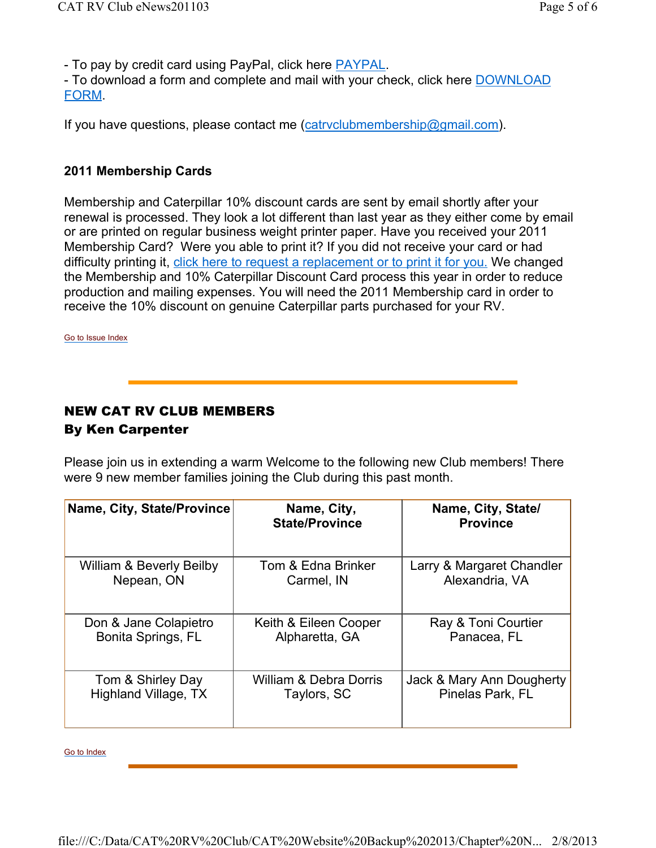- To pay by credit card using PayPal, click here PAYPAL.

- To download a form and complete and mail with your check, click here DOWNLOAD FORM.

If you have questions, please contact me (catryclubmembership@gmail.com).

### **2011 Membership Cards**

Membership and Caterpillar 10% discount cards are sent by email shortly after your renewal is processed. They look a lot different than last year as they either come by email or are printed on regular business weight printer paper. Have you received your 2011 Membership Card? Were you able to print it? If you did not receive your card or had difficulty printing it, click here to request a replacement or to print it for you. We changed the Membership and 10% Caterpillar Discount Card process this year in order to reduce production and mailing expenses. You will need the 2011 Membership card in order to receive the 10% discount on genuine Caterpillar parts purchased for your RV.

Go to Issue Index

## NEW CAT RV CLUB MEMBERS By Ken Carpenter

Please join us in extending a warm Welcome to the following new Club members! There were 9 new member families joining the Club during this past month.

| Name, City, State/Province          | Name, City,<br><b>State/Province</b> | Name, City, State/<br><b>Province</b> |
|-------------------------------------|--------------------------------------|---------------------------------------|
| <b>William &amp; Beverly Beilby</b> | Tom & Edna Brinker                   | Larry & Margaret Chandler             |
| Nepean, ON                          | Carmel, IN                           | Alexandria, VA                        |
| Don & Jane Colapietro               | Keith & Eileen Cooper                | Ray & Toni Courtier                   |
| Bonita Springs, FL                  | Alpharetta, GA                       | Panacea, FL                           |
| Tom & Shirley Day                   | William & Debra Dorris               | Jack & Mary Ann Dougherty             |
| Highland Village, TX                | Taylors, SC                          | Pinelas Park, FL                      |

Go to Index